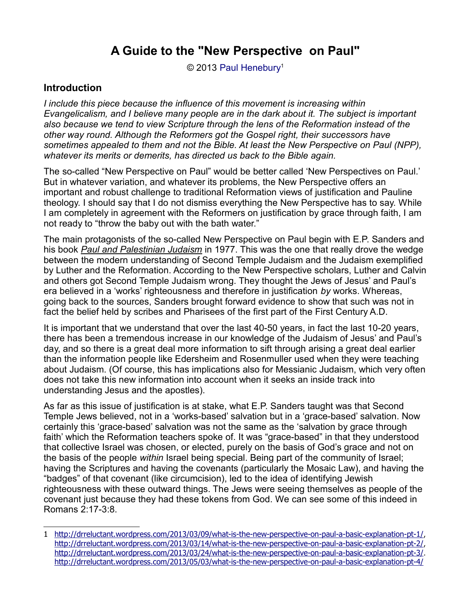© 2013 [Paul Henebury](http://www.spiritandtruth.org/id/ph.htm)<sup>[1](#page-0-0)</sup>

# **Introduction**

*I include this piece because the influence of this movement is increasing within Evangelicalism, and I believe many people are in the dark about it. The subject is important also because we tend to view Scripture through the lens of the Reformation instead of the other way round. Although the Reformers got the Gospel right, their successors have sometimes appealed to them and not the Bible. At least the New Perspective on Paul (NPP), whatever its merits or demerits, has directed us back to the Bible again.*

The so-called "New Perspective on Paul" would be better called 'New Perspectives on Paul.' But in whatever variation, and whatever its problems, the New Perspective offers an important and robust challenge to traditional Reformation views of justification and Pauline theology. I should say that I do not dismiss everything the New Perspective has to say. While I am completely in agreement with the Reformers on justification by grace through faith, I am not ready to "throw the baby out with the bath water."

The main protagonists of the so-called New Perspective on Paul begin with E.P. Sanders and his book *Paul and Palestinian Judaism* in 1977. This was the one that really drove the wedge between the modern understanding of Second Temple Judaism and the Judaism exemplified by Luther and the Reformation. According to the New Perspective scholars, Luther and Calvin and others got Second Temple Judaism wrong. They thought the Jews of Jesus' and Paul's era believed in a 'works' righteousness and therefore in justification *by* works. Whereas, going back to the sources, Sanders brought forward evidence to show that such was not in fact the belief held by scribes and Pharisees of the first part of the First Century A.D.

It is important that we understand that over the last 40-50 years, in fact the last 10-20 years, there has been a tremendous increase in our knowledge of the Judaism of Jesus' and Paul's day, and so there is a great deal more information to sift through arising a great deal earlier than the information people like Edersheim and Rosenmuller used when they were teaching about Judaism. (Of course, this has implications also for Messianic Judaism, which very often does not take this new information into account when it seeks an inside track into understanding Jesus and the apostles).

As far as this issue of justification is at stake, what E.P. Sanders taught was that Second Temple Jews believed, not in a 'works-based' salvation but in a 'grace-based' salvation. Now certainly this 'grace-based' salvation was not the same as the 'salvation by grace through faith' which the Reformation teachers spoke of. It was "grace-based" in that they understood that collective Israel was chosen, or elected, purely on the basis of God's grace and not on the basis of the people *within* Israel being special. Being part of the community of Israel; having the Scriptures and having the covenants (particularly the Mosaic Law), and having the "badges" of that covenant (like circumcision), led to the idea of identifying Jewish righteousness with these outward things. The Jews were seeing themselves as people of the covenant just because they had these tokens from God. We can see some of this indeed in Romans 2:17-3:8.

<span id="page-0-0"></span><sup>1</sup><http://drreluctant.wordpress.com/2013/03/09/what-is-the-new-perspective-on-paul-a-basic-explanation-pt-1/>, <http://drreluctant.wordpress.com/2013/03/14/what-is-the-new-perspective-on-paul-a-basic-explanation-pt-2/>, <http://drreluctant.wordpress.com/2013/03/24/what-is-the-new-perspective-on-paul-a-basic-explanation-pt-3/>. <http://drreluctant.wordpress.com/2013/05/03/what-is-the-new-perspective-on-paul-a-basic-explanation-pt-4/>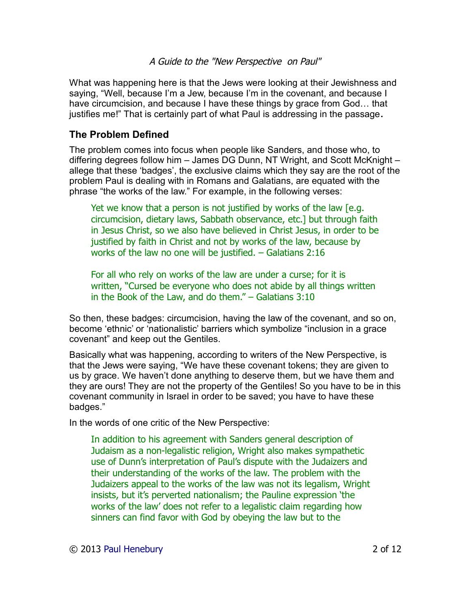What was happening here is that the Jews were looking at their Jewishness and saying, "Well, because I'm a Jew, because I'm in the covenant, and because I have circumcision, and because I have these things by grace from God… that justifies me!" That is certainly part of what Paul is addressing in the passage**.**

# **The Problem Defined**

The problem comes into focus when people like Sanders, and those who, to differing degrees follow him – James DG Dunn, NT Wright, and Scott McKnight – allege that these 'badges', the exclusive claims which they say are the root of the problem Paul is dealing with in Romans and Galatians, are equated with the phrase "the works of the law." For example, in the following verses:

Yet we know that a person is not justified by works of the law [e.g. circumcision, dietary laws, Sabbath observance, etc.] but through faith in Jesus Christ, so we also have believed in Christ Jesus, in order to be justified by faith in Christ and not by works of the law, because by works of the law no one will be justified. – Galatians 2:16

For all who rely on works of the law are under a curse; for it is written, "Cursed be everyone who does not abide by all things written in the Book of the Law, and do them." – Galatians 3:10

So then, these badges: circumcision, having the law of the covenant, and so on, become 'ethnic' or 'nationalistic' barriers which symbolize "inclusion in a grace covenant" and keep out the Gentiles.

Basically what was happening, according to writers of the New Perspective, is that the Jews were saying, "We have these covenant tokens; they are given to us by grace. We haven't done anything to deserve them, but we have them and they are ours! They are not the property of the Gentiles! So you have to be in this covenant community in Israel in order to be saved; you have to have these badges."

In the words of one critic of the New Perspective:

In addition to his agreement with Sanders general description of Judaism as a non-legalistic religion, Wright also makes sympathetic use of Dunn's interpretation of Paul's dispute with the Judaizers and their understanding of the works of the law. The problem with the Judaizers appeal to the works of the law was not its legalism, Wright insists, but it's perverted nationalism; the Pauline expression 'the works of the law' does not refer to a legalistic claim regarding how sinners can find favor with God by obeying the law but to the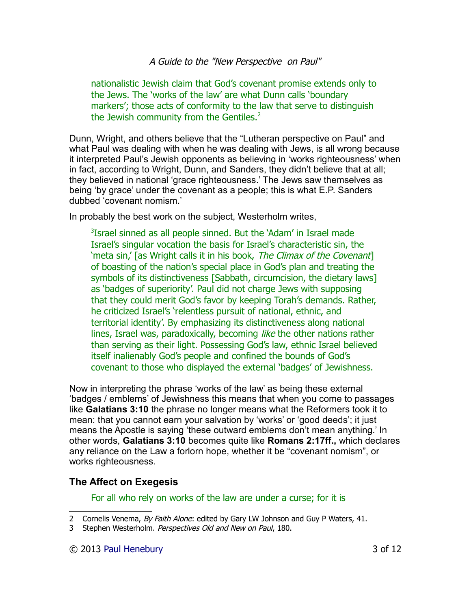nationalistic Jewish claim that God's covenant promise extends only to the Jews. The 'works of the law' are what Dunn calls 'boundary markers'; those acts of conformity to the law that serve to distinguish the Jewish community from the Gentiles. $2$ 

Dunn, Wright, and others believe that the "Lutheran perspective on Paul" and what Paul was dealing with when he was dealing with Jews, is all wrong because it interpreted Paul's Jewish opponents as believing in 'works righteousness' when in fact, according to Wright, Dunn, and Sanders, they didn't believe that at all; they believed in national 'grace righteousness.' The Jews saw themselves as being 'by grace' under the covenant as a people; this is what E.P. Sanders dubbed 'covenant nomism.'

In probably the best work on the subject, Westerholm writes,

<sup>[3](#page-2-1)</sup>Israel sinned as all people sinned. But the 'Adam' in Israel made Israel's singular vocation the basis for Israel's characteristic sin, the 'meta sin,' [as Wright calls it in his book, The Climax of the Covenant] of boasting of the nation's special place in God's plan and treating the symbols of its distinctiveness [Sabbath, circumcision, the dietary laws] as 'badges of superiority'. Paul did not charge Jews with supposing that they could merit God's favor by keeping Torah's demands. Rather, he criticized Israel's 'relentless pursuit of national, ethnic, and territorial identity'. By emphasizing its distinctiveness along national lines, Israel was, paradoxically, becoming like the other nations rather than serving as their light. Possessing God's law, ethnic Israel believed itself inalienably God's people and confined the bounds of God's covenant to those who displayed the external 'badges' of Jewishness.

Now in interpreting the phrase 'works of the law' as being these external 'badges / emblems' of Jewishness this means that when you come to passages like **Galatians 3:10** the phrase no longer means what the Reformers took it to mean: that you cannot earn your salvation by 'works' or 'good deeds'; it just means the Apostle is saying 'these outward emblems don't mean anything.' In other words, **Galatians 3:10** becomes quite like **Romans 2:17ff.,** which declares any reliance on the Law a forlorn hope, whether it be "covenant nomism", or works righteousness.

### **The Affect on Exegesis**

For all who rely on works of the law are under a curse; for it is

<span id="page-2-0"></span><sup>2</sup> Cornelis Venema, By Faith Alone: edited by Gary LW Johnson and Guy P Waters, 41.

<span id="page-2-1"></span><sup>3</sup> Stephen Westerholm. Perspectives Old and New on Paul, 180.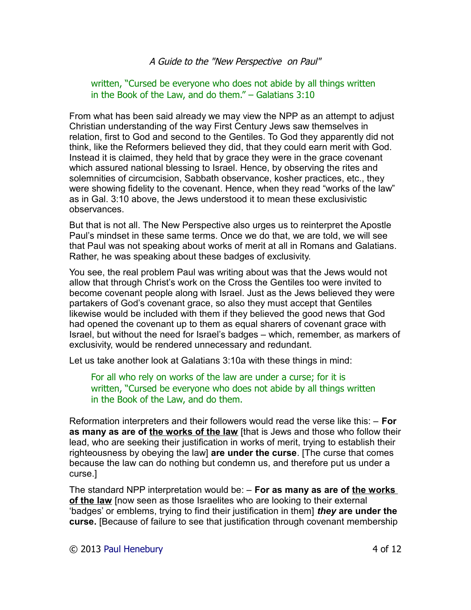#### written, "Cursed be everyone who does not abide by all things written in the Book of the Law, and do them." – Galatians 3:10

From what has been said already we may view the NPP as an attempt to adjust Christian understanding of the way First Century Jews saw themselves in relation, first to God and second to the Gentiles. To God they apparently did not think, like the Reformers believed they did, that they could earn merit with God. Instead it is claimed, they held that by grace they were in the grace covenant which assured national blessing to Israel. Hence, by observing the rites and solemnities of circumcision, Sabbath observance, kosher practices, etc., they were showing fidelity to the covenant. Hence, when they read "works of the law" as in Gal. 3:10 above, the Jews understood it to mean these exclusivistic observances.

But that is not all. The New Perspective also urges us to reinterpret the Apostle Paul's mindset in these same terms. Once we do that, we are told, we will see that Paul was not speaking about works of merit at all in Romans and Galatians. Rather, he was speaking about these badges of exclusivity.

You see, the real problem Paul was writing about was that the Jews would not allow that through Christ's work on the Cross the Gentiles too were invited to become covenant people along with Israel. Just as the Jews believed they were partakers of God's covenant grace, so also they must accept that Gentiles likewise would be included with them if they believed the good news that God had opened the covenant up to them as equal sharers of covenant grace with Israel, but without the need for Israel's badges – which, remember, as markers of exclusivity, would be rendered unnecessary and redundant.

Let us take another look at Galatians 3:10a with these things in mind:

For all who rely on works of the law are under a curse; for it is written, "Cursed be everyone who does not abide by all things written in the Book of the Law, and do them.

Reformation interpreters and their followers would read the verse like this: – **For as many as are of the works of the law** [that is Jews and those who follow their lead, who are seeking their justification in works of merit, trying to establish their righteousness by obeying the law] **are under the curse**. [The curse that comes because the law can do nothing but condemn us, and therefore put us under a curse.]

The standard NPP interpretation would be: – **For as many as are of the works of the law** [now seen as those Israelites who are looking to their external 'badges' or emblems, trying to find their justification in them] *they* **are under the curse.** [Because of failure to see that justification through covenant membership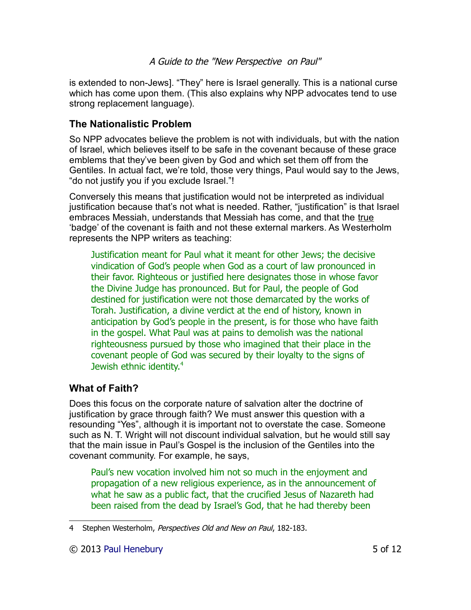is extended to non-Jews]. "They" here is Israel generally. This is a national curse which has come upon them. (This also explains why NPP advocates tend to use strong replacement language).

# **The Nationalistic Problem**

So NPP advocates believe the problem is not with individuals, but with the nation of Israel, which believes itself to be safe in the covenant because of these grace emblems that they've been given by God and which set them off from the Gentiles. In actual fact, we're told, those very things, Paul would say to the Jews, "do not justify you if you exclude Israel."!

Conversely this means that justification would not be interpreted as individual justification because that's not what is needed. Rather, "justification" is that Israel embraces Messiah, understands that Messiah has come, and that the true 'badge' of the covenant is faith and not these external markers. As Westerholm represents the NPP writers as teaching:

Justification meant for Paul what it meant for other Jews; the decisive vindication of God's people when God as a court of law pronounced in their favor. Righteous or justified here designates those in whose favor the Divine Judge has pronounced. But for Paul, the people of God destined for justification were not those demarcated by the works of Torah. Justification, a divine verdict at the end of history, known in anticipation by God's people in the present, is for those who have faith in the gospel. What Paul was at pains to demolish was the national righteousness pursued by those who imagined that their place in the covenant people of God was secured by their loyalty to the signs of Jewish ethnic identity.<sup>[4](#page-4-0)</sup>

# **What of Faith?**

Does this focus on the corporate nature of salvation alter the doctrine of justification by grace through faith? We must answer this question with a resounding "Yes", although it is important not to overstate the case. Someone such as N. T. Wright will not discount individual salvation, but he would still say that the main issue in Paul's Gospel is the inclusion of the Gentiles into the covenant community. For example, he says,

Paul's new vocation involved him not so much in the enjoyment and propagation of a new religious experience, as in the announcement of what he saw as a public fact, that the crucified Jesus of Nazareth had been raised from the dead by Israel's God, that he had thereby been

<span id="page-4-0"></span><sup>4</sup> Stephen Westerholm, Perspectives Old and New on Paul, 182-183.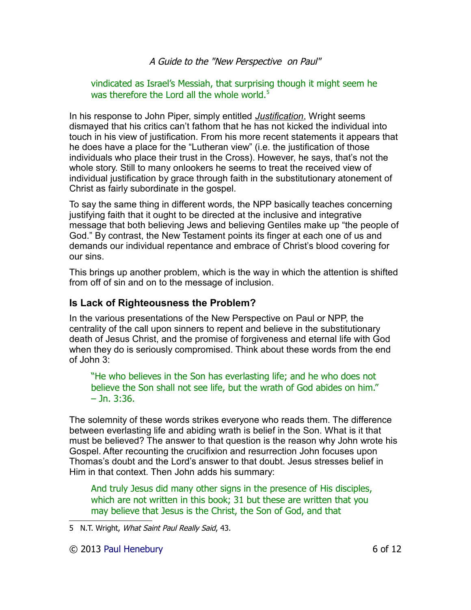vindicated as Israel's Messiah, that surprising though it might seem he was therefore the Lord all the whole world. $5$ 

In his response to John Piper, simply entitled *Justification*, Wright seems dismayed that his critics can't fathom that he has not kicked the individual into touch in his view of justification. From his more recent statements it appears that he does have a place for the "Lutheran view" (i.e. the justification of those individuals who place their trust in the Cross). However, he says, that's not the whole story. Still to many onlookers he seems to treat the received view of individual justification by grace through faith in the substitutionary atonement of Christ as fairly subordinate in the gospel.

To say the same thing in different words, the NPP basically teaches concerning justifying faith that it ought to be directed at the inclusive and integrative message that both believing Jews and believing Gentiles make up "the people of God." By contrast, the New Testament points its finger at each one of us and demands our individual repentance and embrace of Christ's blood covering for our sins.

This brings up another problem, which is the way in which the attention is shifted from off of sin and on to the message of inclusion.

### **Is Lack of Righteousness the Problem?**

In the various presentations of the New Perspective on Paul or NPP, the centrality of the call upon sinners to repent and believe in the substitutionary death of Jesus Christ, and the promise of forgiveness and eternal life with God when they do is seriously compromised. Think about these words from the end of John 3:

"He who believes in the Son has everlasting life; and he who does not believe the Son shall not see life, but the wrath of God abides on him."  $-$  Jn. 3:36.

The solemnity of these words strikes everyone who reads them. The difference between everlasting life and abiding wrath is belief in the Son. What is it that must be believed? The answer to that question is the reason why John wrote his Gospel. After recounting the crucifixion and resurrection John focuses upon Thomas's doubt and the Lord's answer to that doubt. Jesus stresses belief in Him in that context. Then John adds his summary:

And truly Jesus did many other signs in the presence of His disciples, which are not written in this book; 31 but these are written that you may believe that Jesus is the Christ, the Son of God, and that

<span id="page-5-0"></span><sup>5</sup> N.T. Wright, What Saint Paul Really Said, 43.

<sup>© 2013</sup> [Paul Henebury](http://www.spiritandtruth.org/id/ph.htm) 6 of 12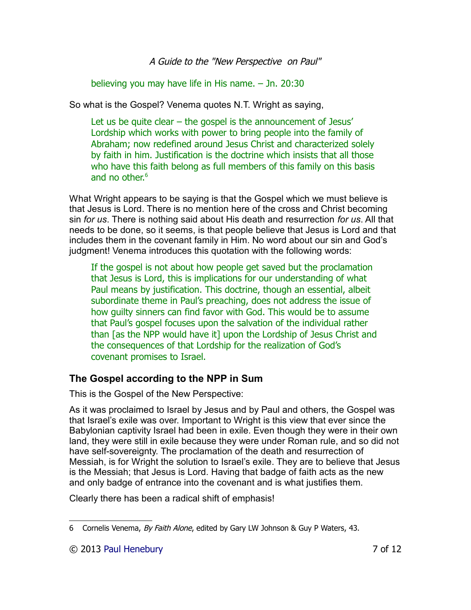believing you may have life in His name. – Jn. 20:30

So what is the Gospel? Venema quotes N.T. Wright as saying,

Let us be quite clear – the gospel is the announcement of Jesus' Lordship which works with power to bring people into the family of Abraham; now redefined around Jesus Christ and characterized solely by faith in him. Justification is the doctrine which insists that all those who have this faith belong as full members of this family on this basis and no other. $6<sup>6</sup>$  $6<sup>6</sup>$ 

What Wright appears to be saying is that the Gospel which we must believe is that Jesus is Lord. There is no mention here of the cross and Christ becoming sin *for us*. There is nothing said about His death and resurrection *for us*. All that needs to be done, so it seems, is that people believe that Jesus is Lord and that includes them in the covenant family in Him. No word about our sin and God's judgment! Venema introduces this quotation with the following words:

If the gospel is not about how people get saved but the proclamation that Jesus is Lord, this is implications for our understanding of what Paul means by justification. This doctrine, though an essential, albeit subordinate theme in Paul's preaching, does not address the issue of how guilty sinners can find favor with God. This would be to assume that Paul's gospel focuses upon the salvation of the individual rather than [as the NPP would have it] upon the Lordship of Jesus Christ and the consequences of that Lordship for the realization of God's covenant promises to Israel.

# **The Gospel according to the NPP in Sum**

This is the Gospel of the New Perspective:

As it was proclaimed to Israel by Jesus and by Paul and others, the Gospel was that Israel's exile was over. Important to Wright is this view that ever since the Babylonian captivity Israel had been in exile. Even though they were in their own land, they were still in exile because they were under Roman rule, and so did not have self-sovereignty. The proclamation of the death and resurrection of Messiah, is for Wright the solution to Israel's exile. They are to believe that Jesus is the Messiah; that Jesus is Lord. Having that badge of faith acts as the new and only badge of entrance into the covenant and is what justifies them.

Clearly there has been a radical shift of emphasis!

<span id="page-6-0"></span><sup>6</sup> Cornelis Venema, By Faith Alone, edited by Gary LW Johnson & Guy P Waters, 43.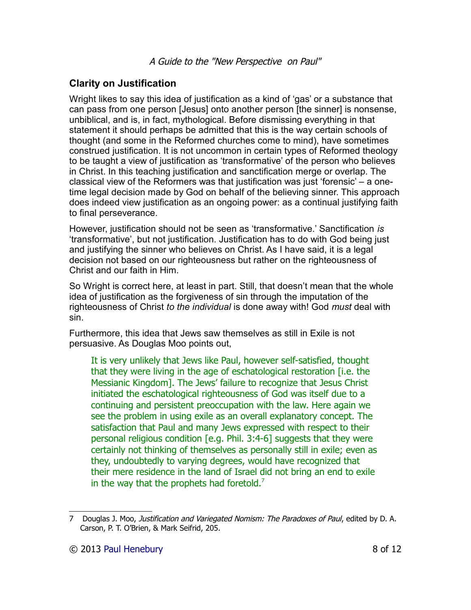# **Clarity on Justification**

Wright likes to say this idea of justification as a kind of 'gas' or a substance that can pass from one person [Jesus] onto another person [the sinner] is nonsense, unbiblical, and is, in fact, mythological. Before dismissing everything in that statement it should perhaps be admitted that this is the way certain schools of thought (and some in the Reformed churches come to mind), have sometimes construed justification. It is not uncommon in certain types of Reformed theology to be taught a view of justification as 'transformative' of the person who believes in Christ. In this teaching justification and sanctification merge or overlap. The classical view of the Reformers was that justification was just 'forensic' – a onetime legal decision made by God on behalf of the believing sinner. This approach does indeed view justification as an ongoing power: as a continual justifying faith to final perseverance.

However, justification should not be seen as 'transformative.' Sanctification *is* 'transformative', but not justification. Justification has to do with God being just and justifying the sinner who believes on Christ. As I have said, it is a legal decision not based on our righteousness but rather on the righteousness of Christ and our faith in Him.

So Wright is correct here, at least in part. Still, that doesn't mean that the whole idea of justification as the forgiveness of sin through the imputation of the righteousness of Christ *to the individual* is done away with! God *must* deal with sin.

Furthermore, this idea that Jews saw themselves as still in Exile is not persuasive. As Douglas Moo points out,

It is very unlikely that Jews like Paul, however self-satisfied, thought that they were living in the age of eschatological restoration [i.e. the Messianic Kingdom]. The Jews' failure to recognize that Jesus Christ initiated the eschatological righteousness of God was itself due to a continuing and persistent preoccupation with the law. Here again we see the problem in using exile as an overall explanatory concept. The satisfaction that Paul and many Jews expressed with respect to their personal religious condition [e.g. Phil. 3:4-6] suggests that they were certainly not thinking of themselves as personally still in exile; even as they, undoubtedly to varying degrees, would have recognized that their mere residence in the land of Israel did not bring an end to exile in the way that the prophets had foretold. $<sup>7</sup>$  $<sup>7</sup>$  $<sup>7</sup>$ </sup>

<span id="page-7-0"></span><sup>7</sup> Douglas J. Moo, Justification and Variegated Nomism: The Paradoxes of Paul, edited by D. A. Carson, P. T. O'Brien, & Mark Seifrid, 205.

<sup>© 2013</sup> [Paul Henebury](http://www.spiritandtruth.org/id/ph.htm) 8 of 12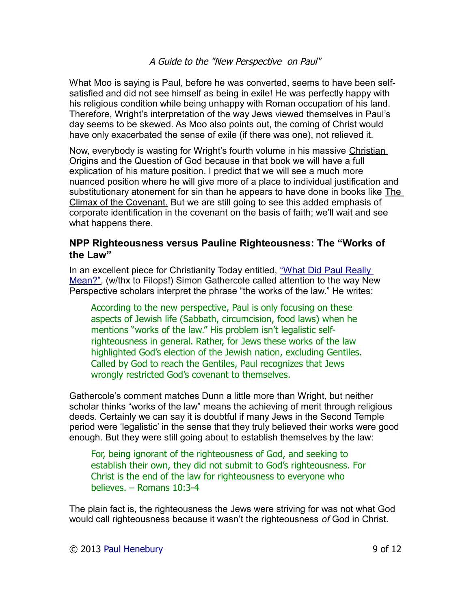What Moo is saying is Paul, before he was converted, seems to have been selfsatisfied and did not see himself as being in exile! He was perfectly happy with his religious condition while being unhappy with Roman occupation of his land. Therefore, Wright's interpretation of the way Jews viewed themselves in Paul's day seems to be skewed. As Moo also points out, the coming of Christ would have only exacerbated the sense of exile (if there was one), not relieved it.

Now, everybody is wasting for Wright's fourth volume in his massive Christian Origins and the Question of God because in that book we will have a full explication of his mature position. I predict that we will see a much more nuanced position where he will give more of a place to individual justification and substitutionary atonement for sin than he appears to have done in books like The Climax of the Covenant. But we are still going to see this added emphasis of corporate identification in the covenant on the basis of faith; we'll wait and see what happens there.

### **NPP Righteousness versus Pauline Righteousness: The "Works of the Law"**

In an excellent piece for Christianity Today entitled, ["What Did Paul Really](http://www.christianitytoday.com/ct/2007/august/13.22.html)  [Mean?",](http://www.christianitytoday.com/ct/2007/august/13.22.html) (w/thx to Filops!) Simon Gathercole called attention to the way New Perspective scholars interpret the phrase "the works of the law." He writes:

According to the new perspective, Paul is only focusing on these aspects of Jewish life (Sabbath, circumcision, food laws) when he mentions "works of the law." His problem isn't legalistic selfrighteousness in general. Rather, for Jews these works of the law highlighted God's election of the Jewish nation, excluding Gentiles. Called by God to reach the Gentiles, Paul recognizes that Jews wrongly restricted God's covenant to themselves.

Gathercole's comment matches Dunn a little more than Wright, but neither scholar thinks "works of the law" means the achieving of merit through religious deeds. Certainly we can say it is doubtful if many Jews in the Second Temple period were 'legalistic' in the sense that they truly believed their works were good enough. But they were still going about to establish themselves by the law:

For, being ignorant of the righteousness of God, and seeking to establish their own, they did not submit to God's righteousness. For Christ is the end of the law for righteousness to everyone who believes. – Romans 10:3-4

The plain fact is, the righteousness the Jews were striving for was not what God would call righteousness because it wasn't the righteousness *of* God in Christ.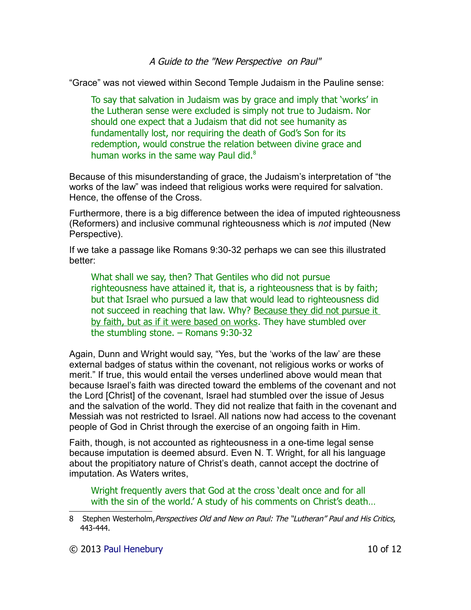"Grace" was not viewed within Second Temple Judaism in the Pauline sense:

To say that salvation in Judaism was by grace and imply that 'works' in the Lutheran sense were excluded is simply not true to Judaism. Nor should one expect that a Judaism that did not see humanity as fundamentally lost, nor requiring the death of God's Son for its redemption, would construe the relation between divine grace and human works in the same way Paul did. $8$ 

Because of this misunderstanding of grace, the Judaism's interpretation of "the works of the law" was indeed that religious works were required for salvation. Hence, the offense of the Cross.

Furthermore, there is a big difference between the idea of imputed righteousness (Reformers) and inclusive communal righteousness which is *not* imputed (New Perspective).

If we take a passage like Romans 9:30-32 perhaps we can see this illustrated better:

What shall we say, then? That Gentiles who did not pursue righteousness have attained it, that is, a righteousness that is by faith; but that Israel who pursued a law that would lead to righteousness did not succeed in reaching that law. Why? Because they did not pursue it by faith, but as if it were based on works. They have stumbled over the stumbling stone. – Romans 9:30-32

Again, Dunn and Wright would say, "Yes, but the 'works of the law' are these external badges of status within the covenant, not religious works or works of merit." If true, this would entail the verses underlined above would mean that because Israel's faith was directed toward the emblems of the covenant and not the Lord [Christ] of the covenant, Israel had stumbled over the issue of Jesus and the salvation of the world. They did not realize that faith in the covenant and Messiah was not restricted to Israel. All nations now had access to the covenant people of God in Christ through the exercise of an ongoing faith in Him.

Faith, though, is not accounted as righteousness in a one-time legal sense because imputation is deemed absurd. Even N. T. Wright, for all his language about the propitiatory nature of Christ's death, cannot accept the doctrine of imputation. As Waters writes,

Wright frequently avers that God at the cross 'dealt once and for all with the sin of the world.' A study of his comments on Christ's death…

© 2013 [Paul Henebury](http://www.spiritandtruth.org/id/ph.htm) 10 of 12

<span id="page-9-0"></span><sup>8</sup> Stephen Westerholm, Perspectives Old and New on Paul: The "Lutheran" Paul and His Critics, 443-444.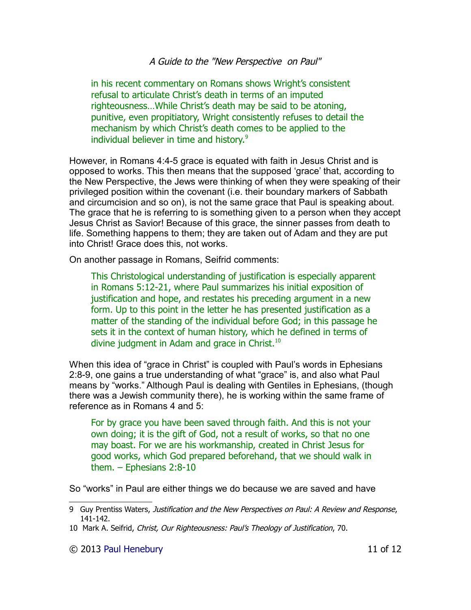in his recent commentary on Romans shows Wright's consistent refusal to articulate Christ's death in terms of an imputed righteousness…While Christ's death may be said to be atoning, punitive, even propitiatory, Wright consistently refuses to detail the mechanism by which Christ's death comes to be applied to the individual believer in time and history.<sup>[9](#page-10-0)</sup>

However, in Romans 4:4-5 grace is equated with faith in Jesus Christ and is opposed to works. This then means that the supposed 'grace' that, according to the New Perspective, the Jews were thinking of when they were speaking of their privileged position within the covenant (i.e. their boundary markers of Sabbath and circumcision and so on), is not the same grace that Paul is speaking about. The grace that he is referring to is something given to a person when they accept Jesus Christ as Savior! Because of this grace, the sinner passes from death to life. Something happens to them; they are taken out of Adam and they are put into Christ! Grace does this, not works.

On another passage in Romans, Seifrid comments:

This Christological understanding of justification is especially apparent in Romans 5:12-21, where Paul summarizes his initial exposition of justification and hope, and restates his preceding argument in a new form. Up to this point in the letter he has presented justification as a matter of the standing of the individual before God; in this passage he sets it in the context of human history, which he defined in terms of divine judgment in Adam and grace in Christ. $10$ 

When this idea of "grace in Christ" is coupled with Paul's words in Ephesians 2:8-9, one gains a true understanding of what "grace" is, and also what Paul means by "works." Although Paul is dealing with Gentiles in Ephesians, (though there was a Jewish community there), he is working within the same frame of reference as in Romans 4 and 5:

For by grace you have been saved through faith. And this is not your own doing; it is the gift of God, not a result of works, so that no one may boast. For we are his workmanship, created in Christ Jesus for good works, which God prepared beforehand, that we should walk in them. – Ephesians 2:8-10

So "works" in Paul are either things we do because we are saved and have

<span id="page-10-0"></span><sup>9</sup> Guy Prentiss Waters, Justification and the New Perspectives on Paul: A Review and Response, 141-142.

<span id="page-10-1"></span><sup>10</sup> Mark A. Seifrid, Christ, Our Righteousness: Paul's Theology of Justification, 70.